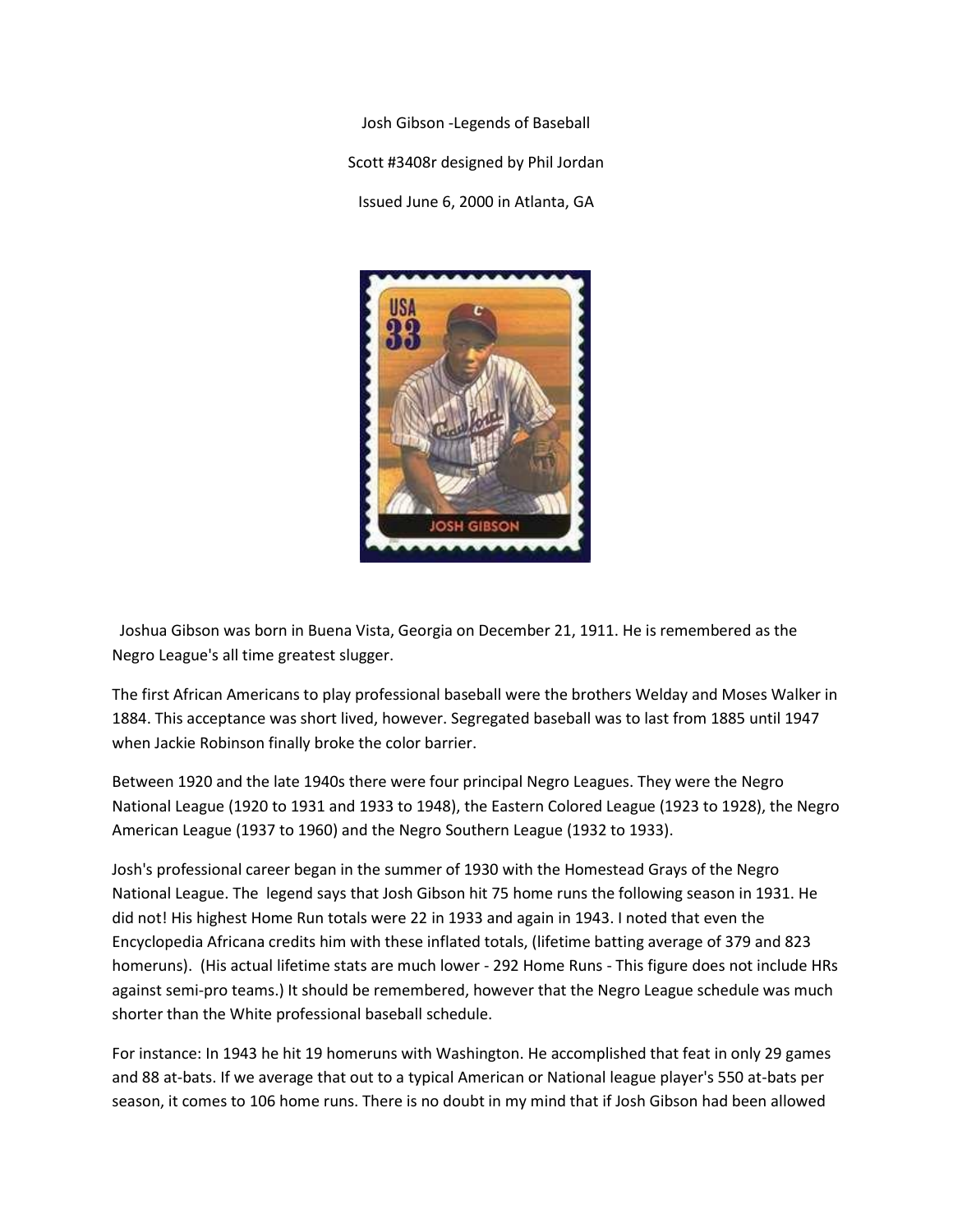Josh Gibson -Legends of Baseball Scott #3408r designed by Phil Jordan Issued June 6, 2000 in Atlanta, GA



 Joshua Gibson was born in Buena Vista, Georgia on December 21, 1911. He is remembered as the Negro League's all time greatest slugger.

The first African Americans to play professional baseball were the brothers Welday and Moses Walker in 1884. This acceptance was short lived, however. Segregated baseball was to last from 1885 until 1947 when Jackie Robinson finally broke the color barrier.

Between 1920 and the late 1940s there were four principal Negro Leagues. They were the Negro National League (1920 to 1931 and 1933 to 1948), the Eastern Colored League (1923 to 1928), the Negro American League (1937 to 1960) and the Negro Southern League (1932 to 1933).

Josh's professional career began in the summer of 1930 with the Homestead Grays of the Negro National League. The legend says that Josh Gibson hit 75 home runs the following season in 1931. He did not! His highest Home Run totals were 22 in 1933 and again in 1943. I noted that even the Encyclopedia Africana credits him with these inflated totals, (lifetime batting average of 379 and 823 homeruns). (His actual lifetime stats are much lower - 292 Home Runs - This figure does not include HRs against semi-pro teams.) It should be remembered, however that the Negro League schedule was much shorter than the White professional baseball schedule.

For instance: In 1943 he hit 19 homeruns with Washington. He accomplished that feat in only 29 games and 88 at-bats. If we average that out to a typical American or National league player's 550 at-bats per season, it comes to 106 home runs. There is no doubt in my mind that if Josh Gibson had been allowed